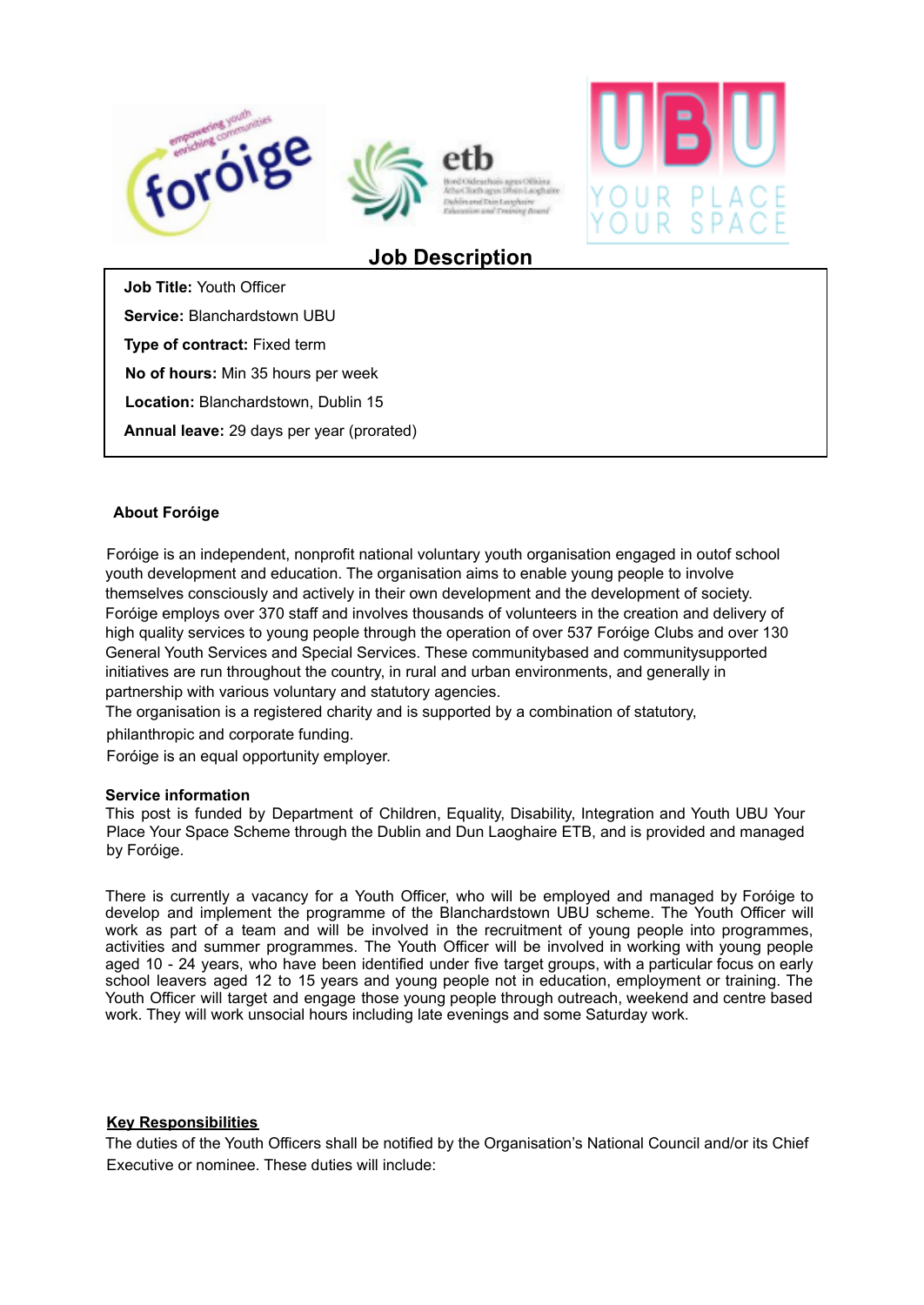



# **Job Description**

**Job Title:** Youth Officer

**Service:** Blanchardstown UBU

**Type of contract:** Fixed term

**No of hours:** Min 35 hours per week

**Location:** Blanchardstown, Dublin 15

**Annual leave:** 29 days per year (prorated)

## **About Foróige**

Foróige is an independent, nonprofit national voluntary youth organisation engaged in outof school youth development and education. The organisation aims to enable young people to involve themselves consciously and actively in their own development and the development of society. Foróige employs over 370 staff and involves thousands of volunteers in the creation and delivery of high quality services to young people through the operation of over 537 Foróige Clubs and over 130 General Youth Services and Special Services. These communitybased and communitysupported initiatives are run throughout the country, in rural and urban environments, and generally in partnership with various voluntary and statutory agencies.

The organisation is a registered charity and is supported by a combination of statutory,

philanthropic and corporate funding.

Foróige is an equal opportunity employer.

#### **Service information**

This post is funded by Department of Children, Equality, Disability, Integration and Youth UBU Your Place Your Space Scheme through the Dublin and Dun Laoghaire ETB, and is provided and managed by Foróige.

There is currently a vacancy for a Youth Officer, who will be employed and managed by Foróige to develop and implement the programme of the Blanchardstown UBU scheme. The Youth Officer will work as part of a team and will be involved in the recruitment of young people into programmes, activities and summer programmes. The Youth Officer will be involved in working with young people aged 10 - 24 years, who have been identified under five target groups, with a particular focus on early school leavers aged 12 to 15 years and young people not in education, employment or training. The Youth Officer will target and engage those young people through outreach, weekend and centre based work. They will work unsocial hours including late evenings and some Saturday work.

#### **Key Responsibilities**

The duties of the Youth Officers shall be notified by the Organisation's National Council and/or its Chief Executive or nominee. These duties will include: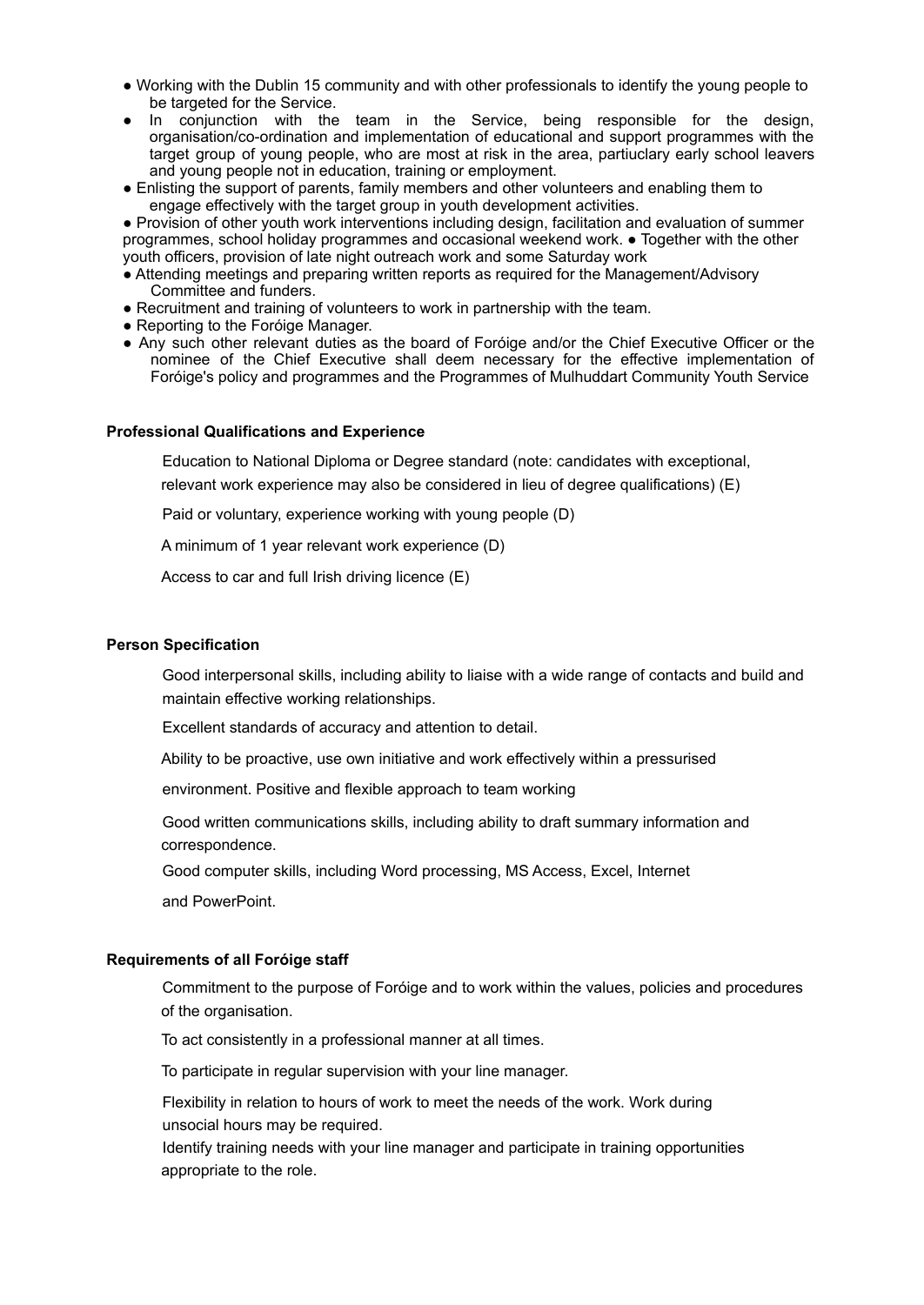- Working with the Dublin 15 community and with other professionals to identify the young people to be targeted for the Service.
- In conjunction with the team in the Service, being responsible for the design, organisation/co-ordination and implementation of educational and support programmes with the target group of young people, who are most at risk in the area, partiuclary early school leavers and young people not in education, training or employment.
- Enlisting the support of parents, family members and other volunteers and enabling them to engage effectively with the target group in youth development activities.

● Provision of other youth work interventions including design, facilitation and evaluation of summer programmes, school holiday programmes and occasional weekend work. ● Together with the other youth officers, provision of late night outreach work and some Saturday work

- Attending meetings and preparing written reports as required for the Management/Advisory Committee and funders.
- Recruitment and training of volunteers to work in partnership with the team.
- Reporting to the Foróige Manager.
- Any such other relevant duties as the board of Foróige and/or the Chief Executive Officer or the nominee of the Chief Executive shall deem necessary for the effective implementation of Foróige's policy and programmes and the Programmes of Mulhuddart Community Youth Service

## **Professional Qualifications and Experience**

Education to National Diploma or Degree standard (note: candidates with exceptional,

relevant work experience may also be considered in lieu of degree qualifications) (E)

Paid or voluntary, experience working with young people (D)

A minimum of 1 year relevant work experience (D)

Access to car and full Irish driving licence (E)

## **Person Specification**

Good interpersonal skills, including ability to liaise with a wide range of contacts and build and maintain effective working relationships.

Excellent standards of accuracy and attention to detail.

Ability to be proactive, use own initiative and work effectively within a pressurised

environment. Positive and flexible approach to team working

Good written communications skills, including ability to draft summary information and correspondence.

Good computer skills, including Word processing, MS Access, Excel, Internet

and PowerPoint.

## **Requirements of all Foróige staff**

Commitment to the purpose of Foróige and to work within the values, policies and procedures of the organisation.

To act consistently in a professional manner at all times.

To participate in regular supervision with your line manager.

Flexibility in relation to hours of work to meet the needs of the work. Work during unsocial hours may be required.

Identify training needs with your line manager and participate in training opportunities appropriate to the role.